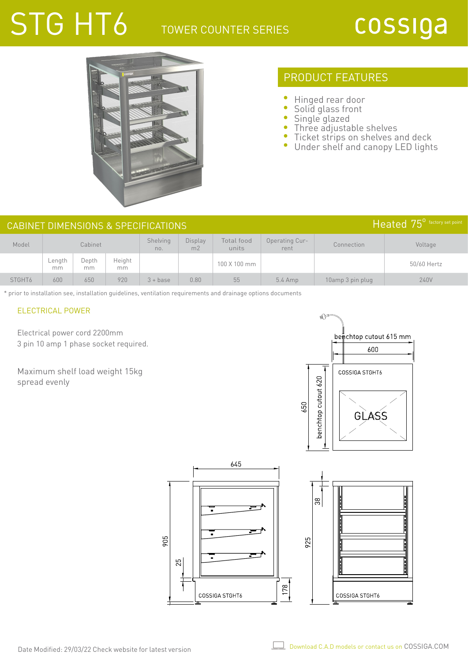## STG HT6 TOWER COUNTER SERIES

# cossiga



## PRODUCT FEATURES

- Ċ Hinged rear door
- $\bullet$ Solid glass front
- Single glazed
- Three adjustable shelves
- $\bullet$ Ticket strips on shelves and deck
- $\bullet$ Under shelf and canopy LED lights

| Heated 75 <sup>0</sup> factory set point<br>CABINET DIMENSIONS & SPECIFICATIONS |              |             |              |                 |               |                     |                        |                  |             |  |
|---------------------------------------------------------------------------------|--------------|-------------|--------------|-----------------|---------------|---------------------|------------------------|------------------|-------------|--|
| Model                                                                           | Cabinet      |             |              | Shelving<br>no. | Display<br>mZ | Total food<br>units | Operating Cur-<br>rent | Connection       | Voltage     |  |
|                                                                                 | ∟ength<br>mm | Depth<br>mm | Height<br>mm |                 |               | 100 X 100 mm        |                        |                  | 50/60 Hertz |  |
| STGHT <sub>6</sub>                                                              | 600          | 650         | 920          | $3 + base$      | 0.80          | 55                  | $5.4$ Amp              | 10amp 3 pin plug | 240V        |  |

\* prior to installation see, installation guidelines, ventilation requirements and drainage options documents

#### ELECTRICAL POWER

Electrical power cord 2200mm 3 pin 10 amp 1 phase socket required.

Maximum shelf load weight 15kg spread evenly



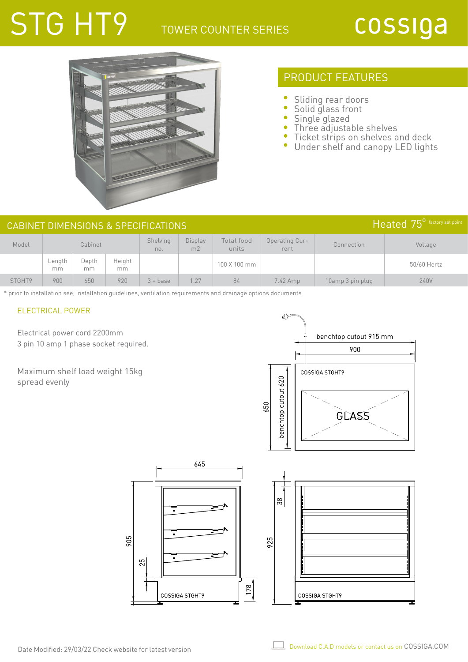## STG HT9 TOWER COUNTER SERIES

# cossiga



## PRODUCT FEATURES

- Sliding rear doors
- $\bullet$ Solid glass front
- Single glazed
- Three adjustable shelves
- Ticket strips on shelves and deck
- $\bullet$ Under shelf and canopy LED lights

| Heated 75 <sup>°</sup> factory set point<br>CABINET DIMENSIONS & SPECIFICATIONS |              |             |              |                 |                                  |                     |                               |                  |             |  |
|---------------------------------------------------------------------------------|--------------|-------------|--------------|-----------------|----------------------------------|---------------------|-------------------------------|------------------|-------------|--|
| Model                                                                           | Cabinet      |             |              | Shelving<br>no. | <b>Display</b><br>m <sub>2</sub> | Total food<br>units | <b>Operating Cur-</b><br>rent | Connection       | Voltage     |  |
|                                                                                 | Length<br>mm | Depth<br>mm | Height<br>mm |                 |                                  | 100 X 100 mm        |                               |                  | 50/60 Hertz |  |
| STGHT9                                                                          | 900          | 650         | 920          | $3 + base$      | 1.27                             | 84                  | 7.42 Amp                      | 10amp 3 pin plug | 240V        |  |

\* prior to installation see, installation guidelines, ventilation requirements and drainage options documents

#### ELECTRICAL POWER

Electrical power cord 2200mm 3 pin 10 amp 1 phase socket required.

Maximum shelf load weight 15kg spread evenly